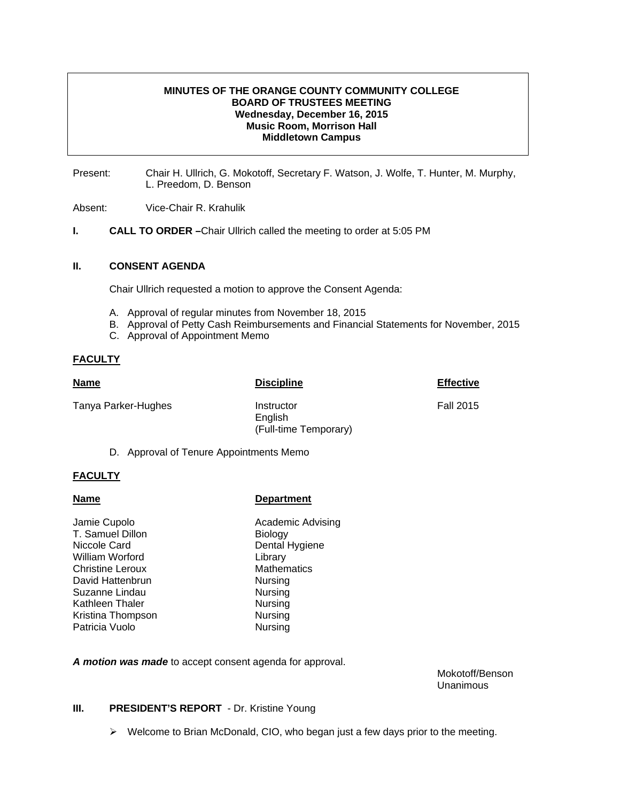# **MINUTES OF THE ORANGE COUNTY COMMUNITY COLLEGE BOARD OF TRUSTEES MEETING Wednesday, December 16, 2015 Music Room, Morrison Hall Middletown Campus**

Present: Chair H. Ullrich, G. Mokotoff, Secretary F. Watson, J. Wolfe, T. Hunter, M. Murphy, L. Preedom, D. Benson

Absent: Vice-Chair R. Krahulik

**I. CALL TO ORDER –**Chair Ullrich called the meeting to order at 5:05 PM

### **II. CONSENT AGENDA**

Chair Ullrich requested a motion to approve the Consent Agenda:

- A. Approval of regular minutes from November 18, 2015
- B. Approval of Petty Cash Reimbursements and Financial Statements for November, 2015
- C. Approval of Appointment Memo

# **FACULTY**

| <b>Name</b>                             | <b>Discipline</b>                              | <b>Effective</b> |
|-----------------------------------------|------------------------------------------------|------------------|
| Tanya Parker-Hughes                     | Instructor<br>English<br>(Full-time Temporary) | <b>Fall 2015</b> |
| D. Approval of Tenure Appointments Memo |                                                |                  |

# **FACULTY**

# **Name Name Department**

Jamie Cupolo **Academic Advising** T. Samuel Dillon Biology Niccole Card **Dental Hygiene** William Worford **Library** Christine Leroux Mathematics David Hattenbrun Nursing Suzanne Lindau Nursing Kathleen Thaler Nursing Kristina Thompson Nursing Patricia Vuolo **Nursing** 

*A motion was made* to accept consent agenda for approval.

 Mokotoff/Benson Unanimous

### **III.** PRESIDENT'S REPORT - Dr. Kristine Young

 $\triangleright$  Welcome to Brian McDonald, CIO, who began just a few days prior to the meeting.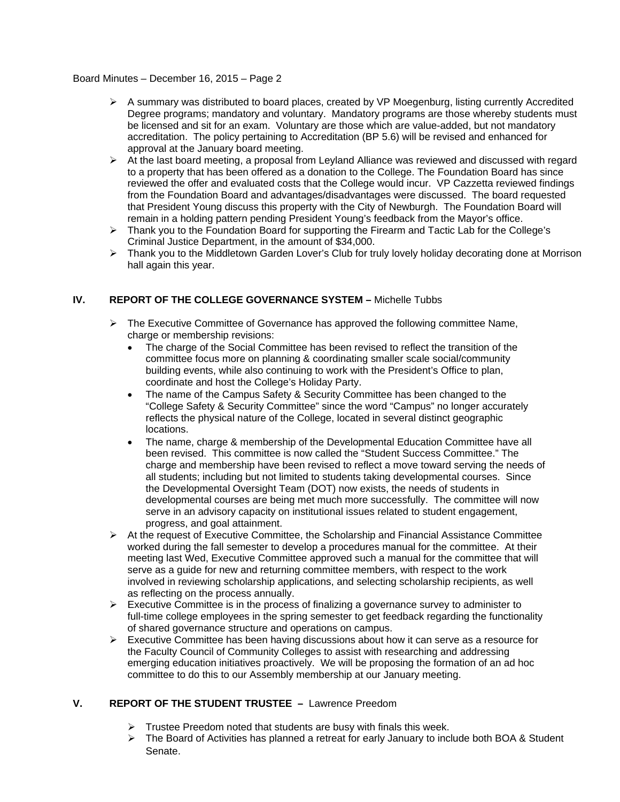# Board Minutes – December 16, 2015 – Page 2

- $\triangleright$  A summary was distributed to board places, created by VP Moegenburg, listing currently Accredited Degree programs; mandatory and voluntary. Mandatory programs are those whereby students must be licensed and sit for an exam. Voluntary are those which are value-added, but not mandatory accreditation. The policy pertaining to Accreditation (BP 5.6) will be revised and enhanced for approval at the January board meeting.
- $\triangleright$  At the last board meeting, a proposal from Leyland Alliance was reviewed and discussed with regard to a property that has been offered as a donation to the College. The Foundation Board has since reviewed the offer and evaluated costs that the College would incur. VP Cazzetta reviewed findings from the Foundation Board and advantages/disadvantages were discussed. The board requested that President Young discuss this property with the City of Newburgh. The Foundation Board will remain in a holding pattern pending President Young's feedback from the Mayor's office.
- $\triangleright$  Thank you to the Foundation Board for supporting the Firearm and Tactic Lab for the College's Criminal Justice Department, in the amount of \$34,000.
- ¾ Thank you to the Middletown Garden Lover's Club for truly lovely holiday decorating done at Morrison hall again this year.

# **IV. REPORT OF THE COLLEGE GOVERNANCE SYSTEM –** Michelle Tubbs

- $\triangleright$  The Executive Committee of Governance has approved the following committee Name, charge or membership revisions:
	- The charge of the Social Committee has been revised to reflect the transition of the committee focus more on planning & coordinating smaller scale social/community building events, while also continuing to work with the President's Office to plan, coordinate and host the College's Holiday Party.
	- The name of the Campus Safety & Security Committee has been changed to the "College Safety & Security Committee" since the word "Campus" no longer accurately reflects the physical nature of the College, located in several distinct geographic locations.
	- The name, charge & membership of the Developmental Education Committee have all been revised. This committee is now called the "Student Success Committee." The charge and membership have been revised to reflect a move toward serving the needs of all students; including but not limited to students taking developmental courses. Since the Developmental Oversight Team (DOT) now exists, the needs of students in developmental courses are being met much more successfully. The committee will now serve in an advisory capacity on institutional issues related to student engagement, progress, and goal attainment.
- $\triangleright$  At the request of Executive Committee, the Scholarship and Financial Assistance Committee worked during the fall semester to develop a procedures manual for the committee. At their meeting last Wed, Executive Committee approved such a manual for the committee that will serve as a guide for new and returning committee members, with respect to the work involved in reviewing scholarship applications, and selecting scholarship recipients, as well as reflecting on the process annually.
- $\triangleright$  Executive Committee is in the process of finalizing a governance survey to administer to full-time college employees in the spring semester to get feedback regarding the functionality of shared governance structure and operations on campus.
- $\triangleright$  Executive Committee has been having discussions about how it can serve as a resource for the Faculty Council of Community Colleges to assist with researching and addressing emerging education initiatives proactively. We will be proposing the formation of an ad hoc committee to do this to our Assembly membership at our January meeting.

### **V. REPORT OF THE STUDENT TRUSTEE –** Lawrence Preedom

- $\triangleright$  Trustee Preedom noted that students are busy with finals this week.
- $\triangleright$  The Board of Activities has planned a retreat for early January to include both BOA & Student Senate.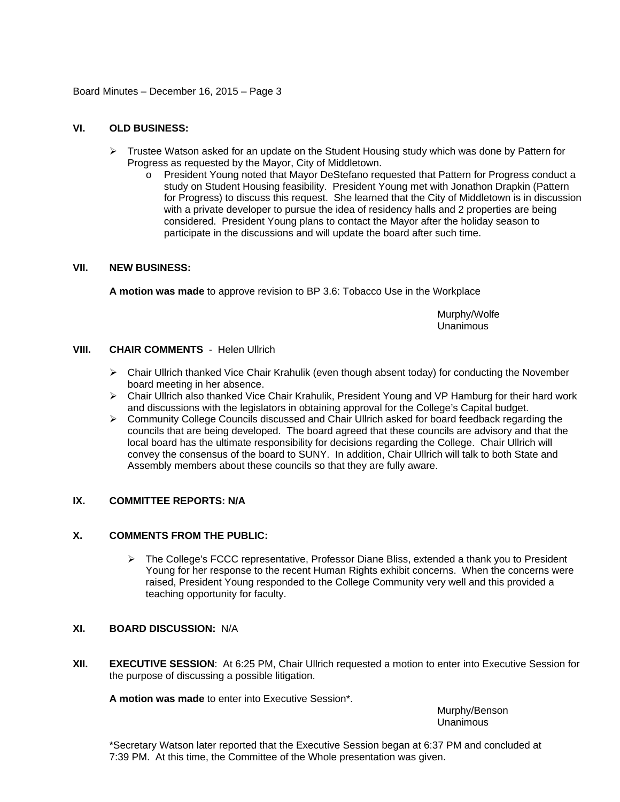Board Minutes – December 16, 2015 – Page 3

# **VI. OLD BUSINESS:**

- $\triangleright$  Trustee Watson asked for an update on the Student Housing study which was done by Pattern for Progress as requested by the Mayor, City of Middletown.
	- o President Young noted that Mayor DeStefano requested that Pattern for Progress conduct a study on Student Housing feasibility. President Young met with Jonathon Drapkin (Pattern for Progress) to discuss this request. She learned that the City of Middletown is in discussion with a private developer to pursue the idea of residency halls and 2 properties are being considered. President Young plans to contact the Mayor after the holiday season to participate in the discussions and will update the board after such time.

#### **VII. NEW BUSINESS:**

**A motion was made** to approve revision to BP 3.6: Tobacco Use in the Workplace

 Murphy/Wolfe Unanimous

#### **VIII. CHAIR COMMENTS** -Helen Ullrich

- $\triangleright$  Chair Ullrich thanked Vice Chair Krahulik (even though absent today) for conducting the November board meeting in her absence.
- ¾ Chair Ullrich also thanked Vice Chair Krahulik, President Young and VP Hamburg for their hard work and discussions with the legislators in obtaining approval for the College's Capital budget.
- $\triangleright$  Community College Councils discussed and Chair Ullrich asked for board feedback regarding the councils that are being developed. The board agreed that these councils are advisory and that the local board has the ultimate responsibility for decisions regarding the College. Chair Ullrich will convey the consensus of the board to SUNY. In addition, Chair Ullrich will talk to both State and Assembly members about these councils so that they are fully aware.

# **IX. COMMITTEE REPORTS: N/A**

## **X. COMMENTS FROM THE PUBLIC:**

 $\triangleright$  The College's FCCC representative, Professor Diane Bliss, extended a thank you to President Young for her response to the recent Human Rights exhibit concerns. When the concerns were raised, President Young responded to the College Community very well and this provided a teaching opportunity for faculty.

# **XI. BOARD DISCUSSION:** N/A

**XII. EXECUTIVE SESSION**: At 6:25 PM, Chair Ullrich requested a motion to enter into Executive Session for the purpose of discussing a possible litigation.

**A motion was made** to enter into Executive Session\*.

Murphy/Benson Unanimous

\*Secretary Watson later reported that the Executive Session began at 6:37 PM and concluded at 7:39 PM. At this time, the Committee of the Whole presentation was given.